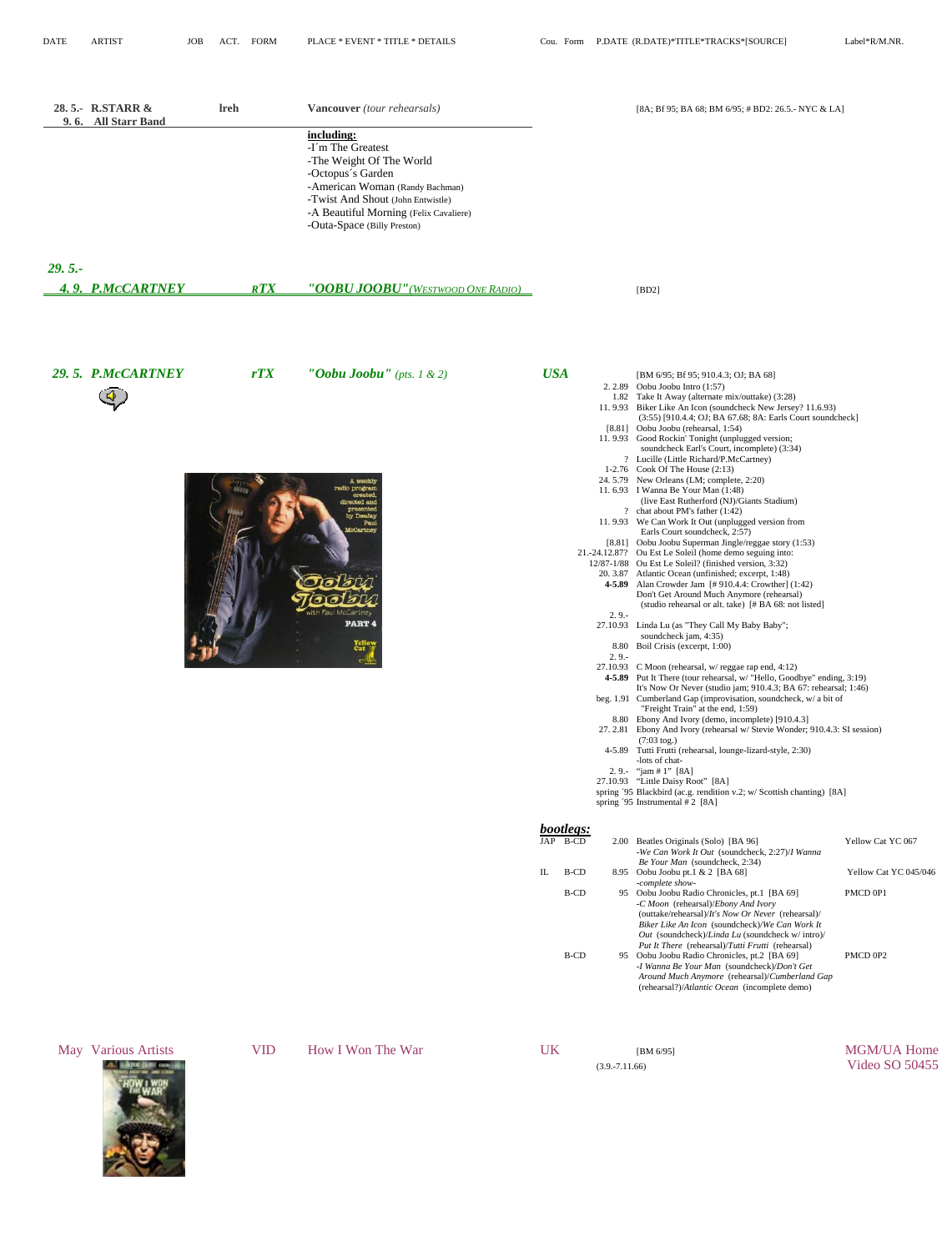<span id="page-0-0"></span>

|          | 28.5.- R.STARR &<br>9.6. All Starr Band | <b>Ireh</b> | Vancouver (tour rehearsals)<br>including:<br>-I'm The Greatest<br>-The Weight Of The World<br>-Octopus's Garden<br>-American Woman (Randy Bachman)<br>-Twist And Shout (John Entwistle)<br>-A Beautiful Morning (Felix Cavaliere)<br>-Outa-Space (Billy Preston) |                  |                                       |                    | [8A; Bf 95; BA 68; BM 6/95; # BD2: 26.5.- NYC & LA]                                                                                                                                                                                                                                                                                                                                                                                                                                                                                                                                                                                                                                                                                                                                                                                                                                                                                                                                                                                                                                                                                                                                                                                                                                                                                                                                                                                                                                                                                                                                                                                                                                                                                                                                                                                                                                                                                                                                                                                                                                                                                                                                                                                                                            |                                                        |
|----------|-----------------------------------------|-------------|------------------------------------------------------------------------------------------------------------------------------------------------------------------------------------------------------------------------------------------------------------------|------------------|---------------------------------------|--------------------|--------------------------------------------------------------------------------------------------------------------------------------------------------------------------------------------------------------------------------------------------------------------------------------------------------------------------------------------------------------------------------------------------------------------------------------------------------------------------------------------------------------------------------------------------------------------------------------------------------------------------------------------------------------------------------------------------------------------------------------------------------------------------------------------------------------------------------------------------------------------------------------------------------------------------------------------------------------------------------------------------------------------------------------------------------------------------------------------------------------------------------------------------------------------------------------------------------------------------------------------------------------------------------------------------------------------------------------------------------------------------------------------------------------------------------------------------------------------------------------------------------------------------------------------------------------------------------------------------------------------------------------------------------------------------------------------------------------------------------------------------------------------------------------------------------------------------------------------------------------------------------------------------------------------------------------------------------------------------------------------------------------------------------------------------------------------------------------------------------------------------------------------------------------------------------------------------------------------------------------------------------------------------------|--------------------------------------------------------|
| $29.5 -$ | 4.9. P.MCCARTNEY                        | <b>RTX</b>  | <u>"OOBU JOOBU" (WESTWOOD ONE RADIO)</u>                                                                                                                                                                                                                         |                  |                                       |                    | [BD2]                                                                                                                                                                                                                                                                                                                                                                                                                                                                                                                                                                                                                                                                                                                                                                                                                                                                                                                                                                                                                                                                                                                                                                                                                                                                                                                                                                                                                                                                                                                                                                                                                                                                                                                                                                                                                                                                                                                                                                                                                                                                                                                                                                                                                                                                          |                                                        |
|          |                                         |             |                                                                                                                                                                                                                                                                  |                  |                                       |                    |                                                                                                                                                                                                                                                                                                                                                                                                                                                                                                                                                                                                                                                                                                                                                                                                                                                                                                                                                                                                                                                                                                                                                                                                                                                                                                                                                                                                                                                                                                                                                                                                                                                                                                                                                                                                                                                                                                                                                                                                                                                                                                                                                                                                                                                                                |                                                        |
|          | 29.5. P.McCARTNEY                       | rTX         | "Oobu Joobu" (pts. 1 & 2)<br>A weekly<br>radio program<br>created<br>directed and<br>presente<br>by DeaJay<br>Paul<br>McCartney<br>vith Paul McCartney<br><b>PART 4</b><br>Yello<br>Cat                                                                          | <b>USA</b><br>IL | bootlegs:<br>JAP B-CD<br>B-CD<br>B-CD | $2.9 -$<br>$2.9 -$ | [BM 6/95; Bf 95; 910.4.3; OJ; BA 68]<br>2. 2.89 Oobu Joobu Intro $(1:57)$<br>1.82 Take It Away (alternate mix/outtake) (3:28)<br>11.9.93 Biker Like An Icon (soundcheck New Jersey? 11.6.93)<br>(3:55) [910.4.4; OJ; BA 67.68; 8A: Earls Court soundcheck]<br>[8.81] Oobu Joobu (rehearsal, 1:54)<br>11.9.93 Good Rockin' Tonight (unplugged version;<br>soundcheck Earl's Court, incomplete) (3:34)<br>? Lucille (Little Richard/P.McCartney)<br>1-2.76 Cook Of The House $(2:13)$<br>24.5.79 New Orleans (LM; complete, 2:20)<br>11.6.93 I Wanna Be Your Man (1:48)<br>(live East Rutherford (NJ)/Giants Stadium)<br>? chat about PM's father (1:42)<br>11.9.93 We Can Work It Out (unplugged version from<br>Earls Court soundcheck, 2:57)<br>[8.81] Oobu Joobu Superman Jingle/reggae story (1:53)<br>21.-24.12.87? Ou Est Le Soleil (home demo seguing into:<br>12/87-1/88 Ou Est Le Soleil? (finished version, 3:32)<br>20. 3.87 Atlantic Ocean (unfinished; excerpt, 1:48)<br>4-5.89 Alan Crowder Jam [#910.4.4: Crowther] (1:42)<br>Don't Get Around Much Anymore (rehearsal)<br>(studio rehearsal or alt. take) [#BA 68: not listed]<br>27.10.93 Linda Lu (as "They Call My Baby Baby";<br>soundcheck jam, 4:35)<br>8.80 Boil Crisis (excerpt, 1:00)<br>27.10.93 C Moon (rehearsal, $w$ reggae rap end, 4:12)<br>4-5.89 Put It There (tour rehearsal, w/ "Hello, Goodbye" ending, 3:19)<br>It's Now Or Never (studio jam; 910.4.3; BA 67: rehearsal; 1:46)<br>beg. 1.91 Cumberland Gap (improvisation, soundcheck, $w/a$ bit of<br>"Freight Train" at the end, 1:59)<br>8.80 Ebony And Ivory (demo, incomplete) [910.4.3]<br>27. 2.81 Ebony And Ivory (rehearsal w/ Stevie Wonder; 910.4.3: SI session)<br>$(7:03 \text{ tog.})$<br>4-5.89 Tutti Frutti (rehearsal, lounge-lizard-style, 2:30)<br>-lots of chat-<br>2.9.- "jam # 1" [8A]<br>27.10.93 "Little Daisy Root" [8A]<br>spring '95 Blackbird (ac.g. rendition v.2; w/ Scottish chanting) [8A]<br>spring '95 Instrumental # 2 [8A]<br>2.00 Beatles Originals (Solo) [BA 96]<br>-We Can Work It Out (soundcheck, 2:27)/I Wanna<br>Be Your Man (soundcheck, 2:34)<br>8.95 Oobu Joobu pt.1 & 2 [BA 68]<br>-complete show-<br>95 Oobu Joobu Radio Chronicles, pt.1 [BA 69]<br>-C Moon (rehearsal)/Ebony And Ivory | Yellow Cat YC 067<br>Yellow Cat YC 045/046<br>PMCD 0P1 |
|          |                                         |             |                                                                                                                                                                                                                                                                  |                  | B-CD                                  |                    | (outtake/rehearsal)/It's Now Or Never (rehearsal)/<br>Biker Like An Icon (soundcheck)/We Can Work It<br>Out (soundcheck)/Linda Lu (soundcheck w/ intro)/<br>Put It There (rehearsal)/Tutti Frutti (rehearsal)<br>95 Oobu Joobu Radio Chronicles, pt.2 [BA 69]<br>-I Wanna Be Your Man (soundcheck)/Don't Get<br>Around Much Anymore (rehearsal)/Cumberland Gap<br>(rehearsal?)/Atlantic Ocean (incomplete demo)                                                                                                                                                                                                                                                                                                                                                                                                                                                                                                                                                                                                                                                                                                                                                                                                                                                                                                                                                                                                                                                                                                                                                                                                                                                                                                                                                                                                                                                                                                                                                                                                                                                                                                                                                                                                                                                                | PMCD 0P2                                               |
|          | May Various Artists<br>A. BAUM DIRECTOR | <b>VID</b>  | How I Won The War                                                                                                                                                                                                                                                | <b>UK</b>        |                                       | $(3.9 - 7.11.66)$  | [BM $6/95$ ]                                                                                                                                                                                                                                                                                                                                                                                                                                                                                                                                                                                                                                                                                                                                                                                                                                                                                                                                                                                                                                                                                                                                                                                                                                                                                                                                                                                                                                                                                                                                                                                                                                                                                                                                                                                                                                                                                                                                                                                                                                                                                                                                                                                                                                                                   | <b>MGM/UA Home</b><br><b>Video SO 50455</b>            |

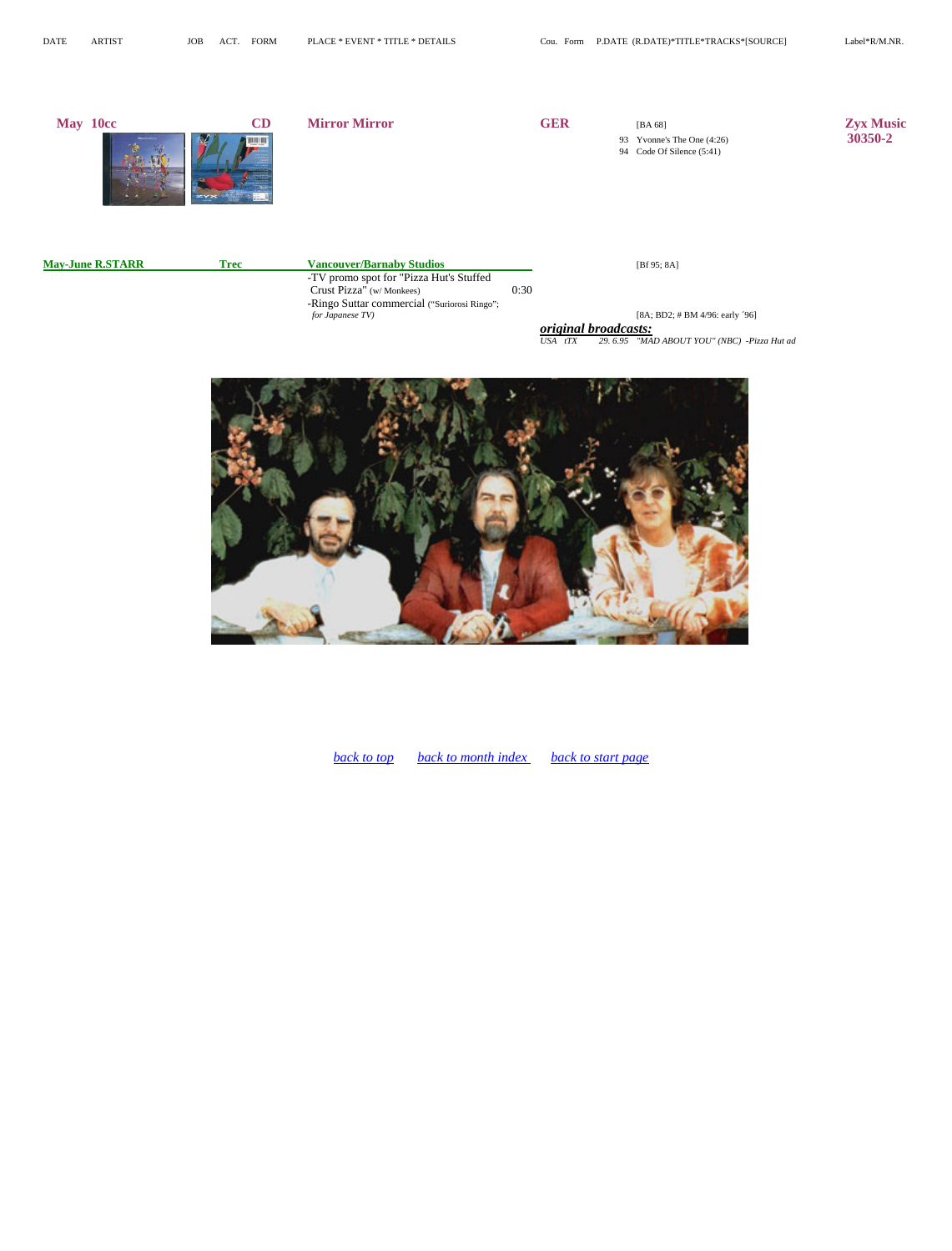| May 10cc                | CD          | <b>Mirror Mirror</b>                                                                                                                                                        |      | <b>GER</b>                      | 93<br>94 | [BA 68]<br>Yvonne's The One $(4:26)$<br>Code Of Silence (5:41)                           | <b>Zyx Music</b><br>30350-2 |
|-------------------------|-------------|-----------------------------------------------------------------------------------------------------------------------------------------------------------------------------|------|---------------------------------|----------|------------------------------------------------------------------------------------------|-----------------------------|
| <b>May-June R.STARR</b> | <b>Trec</b> | <b>Vancouver/Barnaby Studios</b><br>-TV promo spot for "Pizza Hut's Stuffed<br>Crust Pizza" (w/Monkees)<br>-Ringo Suttar commercial ("Suriorosi Ringo";<br>for Japanese TV) | 0:30 | original broadcasts:<br>USA tTX | 29.6.95  | [Bf $95; 8A$ ]<br>[8A; BD2; # BM 4/96; early '96]<br>"MAD ABOUT YOU" (NBC) -Pizza Hut ad |                             |



*[back to top](#page-0-0) back to month index back to start page*